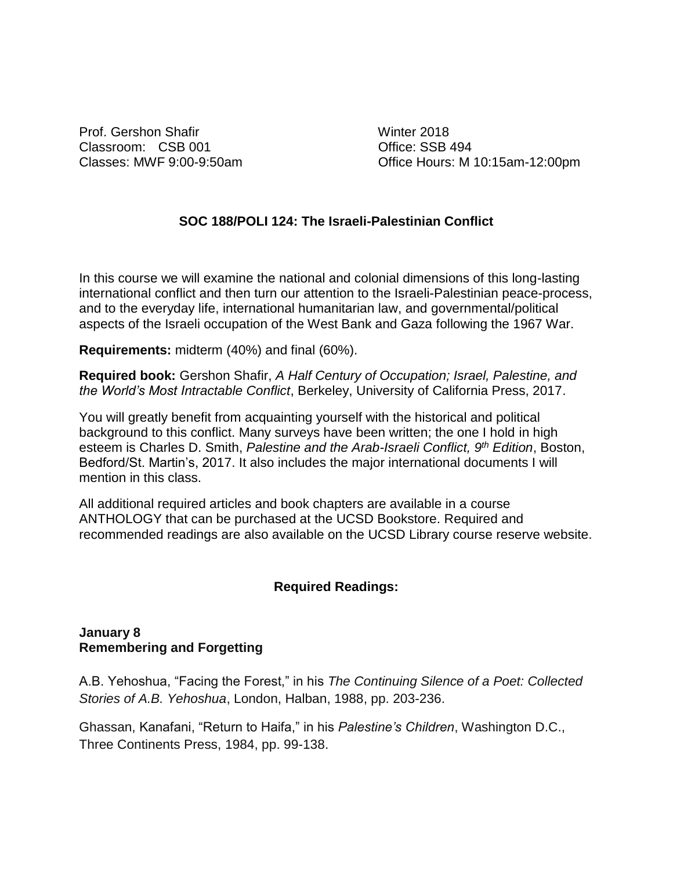Prof. Gershon Shafir Winter 2018 Classroom: CSB 001 Classroom: CSB 001

Classes: MWF 9:00-9:50am Quita Contract Classes: MWF 9:00-9:50am

# **SOC 188/POLI 124: The Israeli-Palestinian Conflict**

In this course we will examine the national and colonial dimensions of this long-lasting international conflict and then turn our attention to the Israeli-Palestinian peace-process, and to the everyday life, international humanitarian law, and governmental/political aspects of the Israeli occupation of the West Bank and Gaza following the 1967 War.

**Requirements:** midterm (40%) and final (60%).

**Required book:** Gershon Shafir, *A Half Century of Occupation; Israel, Palestine, and the World's Most Intractable Conflict*, Berkeley, University of California Press, 2017.

You will greatly benefit from acquainting yourself with the historical and political background to this conflict. Many surveys have been written; the one I hold in high esteem is Charles D. Smith, *Palestine and the Arab-Israeli Conflict, 9 th Edition*, Boston, Bedford/St. Martin's, 2017. It also includes the major international documents I will mention in this class.

All additional required articles and book chapters are available in a course ANTHOLOGY that can be purchased at the UCSD Bookstore. Required and recommended readings are also available on the UCSD Library course reserve website.

#### **Required Readings:**

#### **January 8 Remembering and Forgetting**

A.B. Yehoshua, "Facing the Forest," in his *The Continuing Silence of a Poet: Collected Stories of A.B. Yehoshua*, London, Halban, 1988, pp. 203-236.

Ghassan, Kanafani, "Return to Haifa," in his *Palestine's Children*, Washington D.C., Three Continents Press, 1984, pp. 99-138.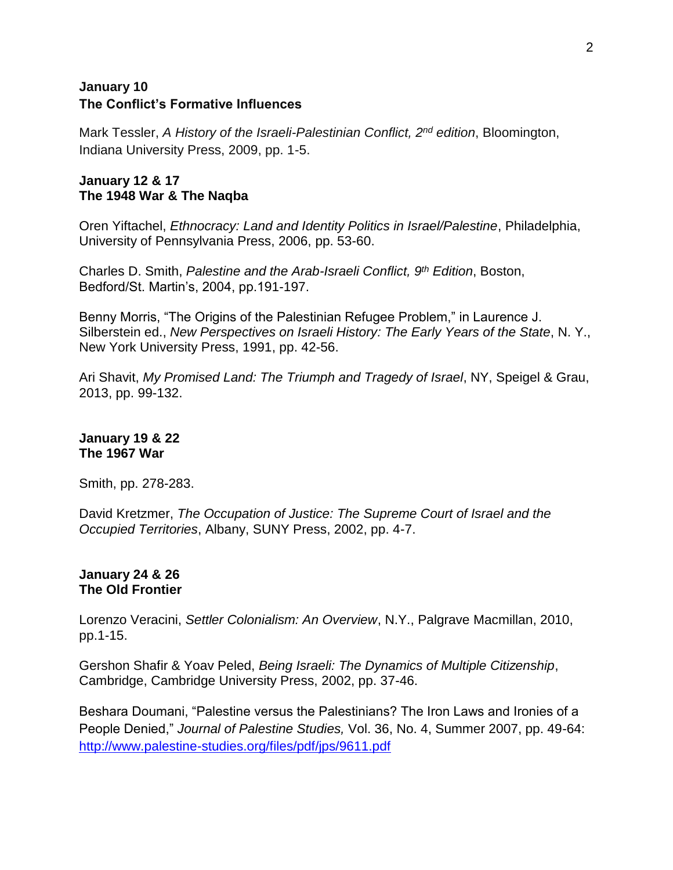# **January 10 The Conflict's Formative Influences**

Mark Tessler, *A History of the Israeli-Palestinian Conflict, 2nd edition*, Bloomington, Indiana University Press, 2009, pp. 1-5.

## **January 12 & 17 The 1948 War & The Naqba**

Oren Yiftachel, *Ethnocracy: Land and Identity Politics in Israel/Palestine*, Philadelphia, University of Pennsylvania Press, 2006, pp. 53-60.

Charles D. Smith, *Palestine and the Arab-Israeli Conflict, 9 th Edition*, Boston, Bedford/St. Martin's, 2004, pp.191-197.

Benny Morris, "The Origins of the Palestinian Refugee Problem," in Laurence J. Silberstein ed., *New Perspectives on Israeli History: The Early Years of the State*, N. Y., New York University Press, 1991, pp. 42-56.

Ari Shavit, *My Promised Land: The Triumph and Tragedy of Israel*, NY, Speigel & Grau, 2013, pp. 99-132.

### **January 19 & 22 The 1967 War**

Smith, pp. 278-283.

David Kretzmer, *The Occupation of Justice: The Supreme Court of Israel and the Occupied Territories*, Albany, SUNY Press, 2002, pp. 4-7.

# **January 24 & 26 The Old Frontier**

Lorenzo Veracini, *Settler Colonialism: An Overview*, N.Y., Palgrave Macmillan, 2010, pp.1-15.

Gershon Shafir & Yoav Peled, *Being Israeli: The Dynamics of Multiple Citizenship*, Cambridge, Cambridge University Press, 2002, pp. 37-46.

Beshara Doumani, "Palestine versus the Palestinians? The Iron Laws and Ironies of a People Denied," *Journal of Palestine Studies,* Vol. 36, No. 4, Summer 2007, pp. 49-64: <http://www.palestine-studies.org/files/pdf/jps/9611.pdf>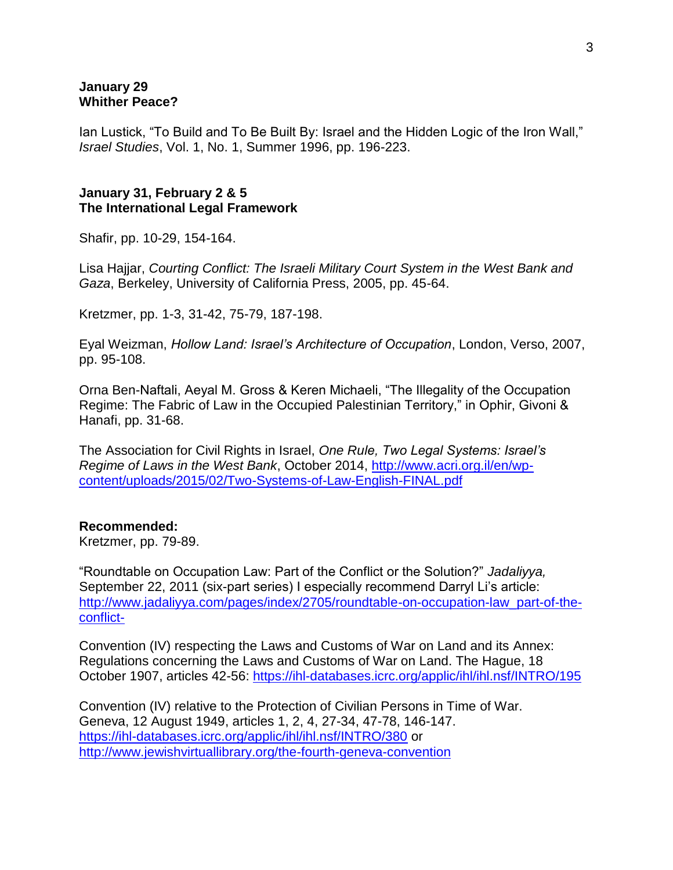#### **January 29 Whither Peace?**

Ian Lustick, "To Build and To Be Built By: Israel and the Hidden Logic of the Iron Wall," *Israel Studies*, Vol. 1, No. 1, Summer 1996, pp. 196-223.

## **January 31, February 2 & 5 The International Legal Framework**

Shafir, pp. 10-29, 154-164.

Lisa Hajjar, *Courting Conflict: The Israeli Military Court System in the West Bank and Gaza*, Berkeley, University of California Press, 2005, pp. 45-64.

Kretzmer, pp. 1-3, 31-42, 75-79, 187-198.

Eyal Weizman, *Hollow Land: Israel's Architecture of Occupation*, London, Verso, 2007, pp. 95-108.

Orna Ben-Naftali, Aeyal M. Gross & Keren Michaeli, "The Illegality of the Occupation Regime: The Fabric of Law in the Occupied Palestinian Territory," in Ophir, Givoni & Hanafi, pp. 31-68.

The Association for Civil Rights in Israel, *One Rule, Two Legal Systems: Israel's Regime of Laws in the West Bank*, October 2014, [http://www.acri.org.il/en/wp](http://www.acri.org.il/en/wp-content/uploads/2015/02/Two-Systems-of-Law-English-FINAL.pdf)[content/uploads/2015/02/Two-Systems-of-Law-English-FINAL.pdf](http://www.acri.org.il/en/wp-content/uploads/2015/02/Two-Systems-of-Law-English-FINAL.pdf)

# **Recommended:**

Kretzmer, pp. 79-89.

"Roundtable on Occupation Law: Part of the Conflict or the Solution?" *Jadaliyya,*  September 22, 2011 (six-part series) I especially recommend Darryl Li's article: [http://www.jadaliyya.com/pages/index/2705/roundtable-on-occupation-law\\_part-of-the](http://www.jadaliyya.com/pages/index/2705/roundtable-on-occupation-law_part-of-the-conflict-)[conflict-](http://www.jadaliyya.com/pages/index/2705/roundtable-on-occupation-law_part-of-the-conflict-)

Convention (IV) respecting the Laws and Customs of War on Land and its Annex: Regulations concerning the Laws and Customs of War on Land. The Hague, 18 October 1907, articles 42-56:<https://ihl-databases.icrc.org/applic/ihl/ihl.nsf/INTRO/195>

Convention (IV) relative to the Protection of Civilian Persons in Time of War. Geneva, 12 August 1949, articles 1, 2, 4, 27-34, 47-78, 146-147. <https://ihl-databases.icrc.org/applic/ihl/ihl.nsf/INTRO/380> or <http://www.jewishvirtuallibrary.org/the-fourth-geneva-convention>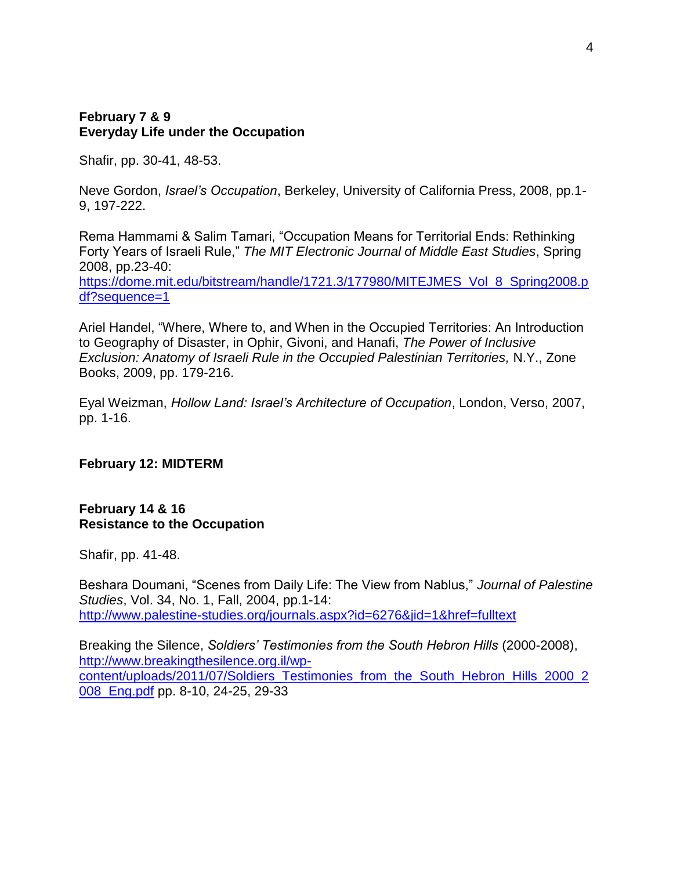## **February 7 & 9 Everyday Life under the Occupation**

Shafir, pp. 30-41, 48-53.

Neve Gordon, *Israel's Occupation*, Berkeley, University of California Press, 2008, pp.1- 9, 197-222.

Rema Hammami & Salim Tamari, "Occupation Means for Territorial Ends: Rethinking Forty Years of Israeli Rule," *The MIT Electronic Journal of Middle East Studies*, Spring 2008, pp.23-40:

[https://dome.mit.edu/bitstream/handle/1721.3/177980/MITEJMES\\_Vol\\_8\\_Spring2008.p](https://dome.mit.edu/bitstream/handle/1721.3/177980/MITEJMES_Vol_8_Spring2008.pdf?sequence=1) [df?sequence=1](https://dome.mit.edu/bitstream/handle/1721.3/177980/MITEJMES_Vol_8_Spring2008.pdf?sequence=1)

Ariel Handel, "Where, Where to, and When in the Occupied Territories: An Introduction to Geography of Disaster, in Ophir, Givoni, and Hanafi, *The Power of Inclusive Exclusion: Anatomy of Israeli Rule in the Occupied Palestinian Territories,* N.Y., Zone Books, 2009, pp. 179-216.

Eyal Weizman, *Hollow Land: Israel's Architecture of Occupation*, London, Verso, 2007, pp. 1-16.

#### **February 12: MIDTERM**

### **February 14 & 16 Resistance to the Occupation**

Shafir, pp. 41-48.

Beshara Doumani, "Scenes from Daily Life: The View from Nablus," *Journal of Palestine Studies*, Vol. 34, No. 1, Fall, 2004, pp.1-14: <http://www.palestine-studies.org/journals.aspx?id=6276&jid=1&href=fulltext>

Breaking the Silence, *Soldiers' Testimonies from the South Hebron Hills* (2000-2008), [http://www.breakingthesilence.org.il/wp](http://www.breakingthesilence.org.il/wp-content/uploads/2011/07/Soldiers_Testimonies_from_the_South_Hebron_Hills_2000_2008_Eng.pdf)[content/uploads/2011/07/Soldiers\\_Testimonies\\_from\\_the\\_South\\_Hebron\\_Hills\\_2000\\_2](http://www.breakingthesilence.org.il/wp-content/uploads/2011/07/Soldiers_Testimonies_from_the_South_Hebron_Hills_2000_2008_Eng.pdf) [008\\_Eng.pdf](http://www.breakingthesilence.org.il/wp-content/uploads/2011/07/Soldiers_Testimonies_from_the_South_Hebron_Hills_2000_2008_Eng.pdf) pp. 8-10, 24-25, 29-33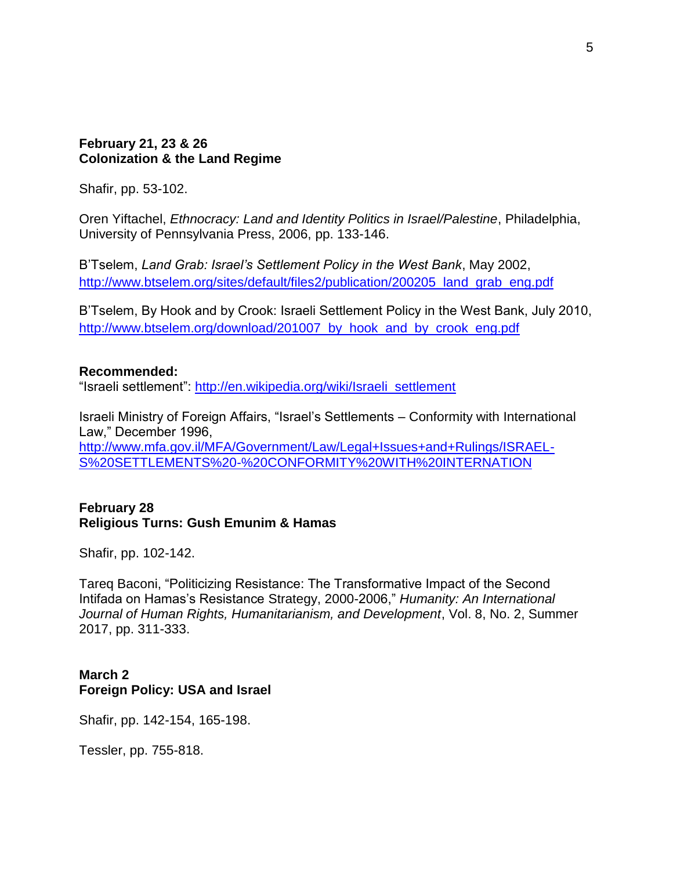## **February 21, 23 & 26 Colonization & the Land Regime**

Shafir, pp. 53-102.

Oren Yiftachel, *Ethnocracy: Land and Identity Politics in Israel/Palestine*, Philadelphia, University of Pennsylvania Press, 2006, pp. 133-146.

B'Tselem, *Land Grab: Israel's Settlement Policy in the West Bank*, May 2002, [http://www.btselem.org/sites/default/files2/publication/200205\\_land\\_grab\\_eng.pdf](http://www.btselem.org/sites/default/files2/publication/200205_land_grab_eng.pdf)

B'Tselem, By Hook and by Crook: Israeli Settlement Policy in the West Bank, July 2010, [http://www.btselem.org/download/201007\\_by\\_hook\\_and\\_by\\_crook\\_eng.pdf](http://www.btselem.org/download/201007_by_hook_and_by_crook_eng.pdf)

# **Recommended:**

"Israeli settlement": [http://en.wikipedia.org/wiki/Israeli\\_settlement](http://en.wikipedia.org/wiki/Israeli_settlement)

Israeli Ministry of Foreign Affairs, "Israel's Settlements – Conformity with International Law," December 1996, [http://www.mfa.gov.il/MFA/Government/Law/Legal+Issues+and+Rulings/ISRAEL-](http://www.mfa.gov.il/MFA/Government/Law/Legal+Issues+and+Rulings/ISRAEL-S%20SETTLEMENTS%20-%20CONFORMITY%20WITH%20INTERNATION)[S%20SETTLEMENTS%20-%20CONFORMITY%20WITH%20INTERNATION](http://www.mfa.gov.il/MFA/Government/Law/Legal+Issues+and+Rulings/ISRAEL-S%20SETTLEMENTS%20-%20CONFORMITY%20WITH%20INTERNATION)

# **February 28 Religious Turns: Gush Emunim & Hamas**

Shafir, pp. 102-142.

Tareq Baconi, "Politicizing Resistance: The Transformative Impact of the Second Intifada on Hamas's Resistance Strategy, 2000-2006," *Humanity: An International Journal of Human Rights, Humanitarianism, and Development*, Vol. 8, No. 2, Summer 2017, pp. 311-333.

# **March 2 Foreign Policy: USA and Israel**

Shafir, pp. 142-154, 165-198.

Tessler, pp. 755-818.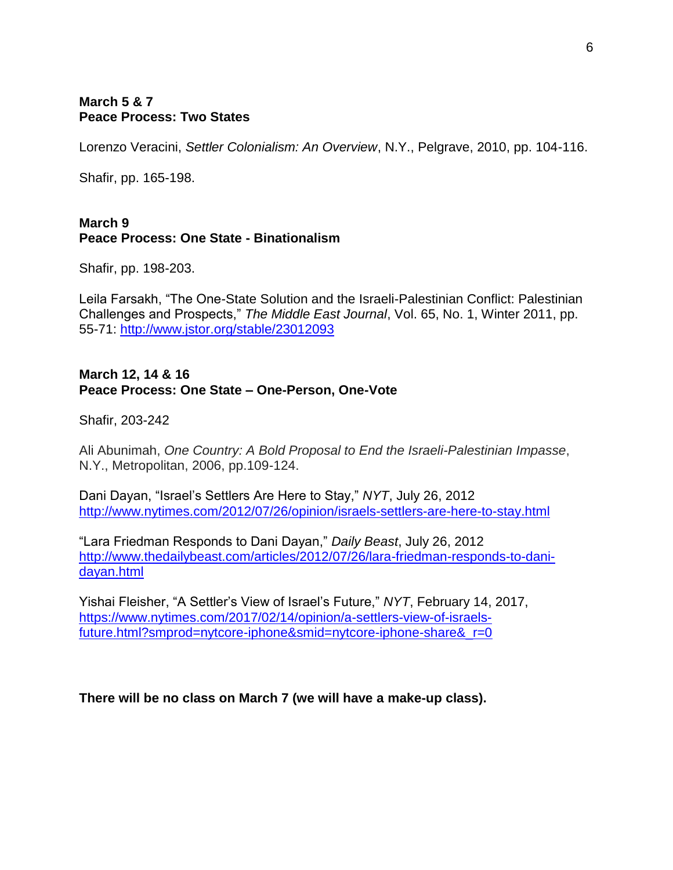## **March 5 & 7 Peace Process: Two States**

Lorenzo Veracini, *Settler Colonialism: An Overview*, N.Y., Pelgrave, 2010, pp. 104-116.

Shafir, pp. 165-198.

# **March 9 Peace Process: One State - Binationalism**

Shafir, pp. 198-203.

Leila Farsakh, "The One-State Solution and the Israeli-Palestinian Conflict: Palestinian Challenges and Prospects," *The Middle East Journal*, Vol. 65, No. 1, Winter 2011, pp. 55-71:<http://www.jstor.org/stable/23012093>

#### **March 12, 14 & 16 Peace Process: One State – One-Person, One-Vote**

Shafir, 203-242

Ali Abunimah, *One Country: A Bold Proposal to End the Israeli-Palestinian Impasse*, N.Y., Metropolitan, 2006, pp.109-124.

Dani Dayan, "Israel's Settlers Are Here to Stay," *NYT*, July 26, 2012 <http://www.nytimes.com/2012/07/26/opinion/israels-settlers-are-here-to-stay.html>

"Lara Friedman Responds to Dani Dayan," *Daily Beast*, July 26, 2012 [http://www.thedailybeast.com/articles/2012/07/26/lara-friedman-responds-to-dani](http://www.thedailybeast.com/articles/2012/07/26/lara-friedman-responds-to-dani-dayan.html)[dayan.html](http://www.thedailybeast.com/articles/2012/07/26/lara-friedman-responds-to-dani-dayan.html) 

Yishai Fleisher, "A Settler's View of Israel's Future," *NYT*, February 14, 2017, [https://www.nytimes.com/2017/02/14/opinion/a-settlers-view-of-israels](https://www.nytimes.com/2017/02/14/opinion/a-settlers-view-of-israels-future.html?smprod=nytcore-iphone&smid=nytcore-iphone-share&_r=0)[future.html?smprod=nytcore-iphone&smid=nytcore-iphone-share&\\_r=0](https://www.nytimes.com/2017/02/14/opinion/a-settlers-view-of-israels-future.html?smprod=nytcore-iphone&smid=nytcore-iphone-share&_r=0)

**There will be no class on March 7 (we will have a make-up class).**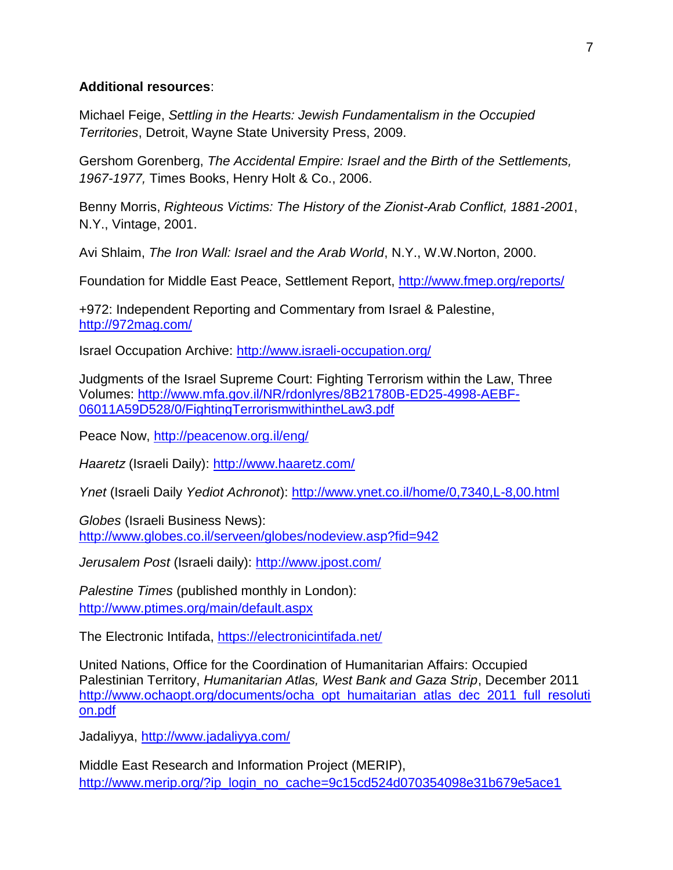## **Additional resources**:

Michael Feige, *Settling in the Hearts: Jewish Fundamentalism in the Occupied Territories*, Detroit, Wayne State University Press, 2009.

Gershom Gorenberg, *The Accidental Empire: Israel and the Birth of the Settlements, 1967-1977,* Times Books, Henry Holt & Co., 2006.

Benny Morris, *Righteous Victims: The History of the Zionist-Arab Conflict, 1881-2001*, N.Y., Vintage, 2001.

Avi Shlaim, *The Iron Wall: Israel and the Arab World*, N.Y., W.W.Norton, 2000.

Foundation for Middle East Peace, Settlement Report,<http://www.fmep.org/reports/>

+972: Independent Reporting and Commentary from Israel & Palestine, <http://972mag.com/>

Israel Occupation Archive:<http://www.israeli-occupation.org/>

Judgments of the Israel Supreme Court: Fighting Terrorism within the Law, Three Volumes: [http://www.mfa.gov.il/NR/rdonlyres/8B21780B-ED25-4998-AEBF-](http://www.mfa.gov.il/NR/rdonlyres/8B21780B-ED25-4998-AEBF-06011A59D528/0/FightingTerrorismwithintheLaw3.pdf)[06011A59D528/0/FightingTerrorismwithintheLaw3.pdf](http://www.mfa.gov.il/NR/rdonlyres/8B21780B-ED25-4998-AEBF-06011A59D528/0/FightingTerrorismwithintheLaw3.pdf)

Peace Now,<http://peacenow.org.il/eng/>

*Haaretz* (Israeli Daily):<http://www.haaretz.com/>

*Ynet* (Israeli Daily *Yediot Achronot*):<http://www.ynet.co.il/home/0,7340,L-8,00.html>

*Globes* (Israeli Business News): <http://www.globes.co.il/serveen/globes/nodeview.asp?fid=942>

*Jerusalem Post* (Israeli daily):<http://www.jpost.com/>

*Palestine Times* (published monthly in London): <http://www.ptimes.org/main/default.aspx>

The Electronic Intifada,<https://electronicintifada.net/>

United Nations, Office for the Coordination of Humanitarian Affairs: Occupied Palestinian Territory, *Humanitarian Atlas, West Bank and Gaza Strip*, December 2011 [http://www.ochaopt.org/documents/ocha\\_opt\\_humaitarian\\_atlas\\_dec\\_2011\\_full\\_resoluti](http://www.ochaopt.org/documents/ocha_opt_humaitarian_atlas_dec_2011_full_resolution.pdf) [on.pdf](http://www.ochaopt.org/documents/ocha_opt_humaitarian_atlas_dec_2011_full_resolution.pdf)

Jadaliyya,<http://www.jadaliyya.com/>

Middle East Research and Information Project (MERIP), [http://www.merip.org/?ip\\_login\\_no\\_cache=9c15cd524d070354098e31b679e5ace1](http://www.merip.org/?ip_login_no_cache=9c15cd524d070354098e31b679e5ace1)